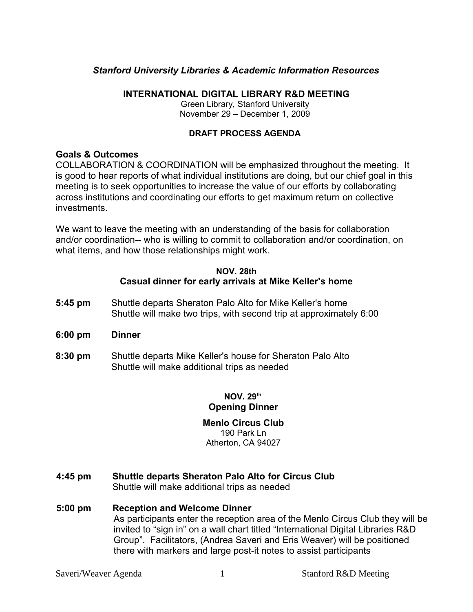## *Stanford University Libraries & Academic Information Resources*

#### **INTERNATIONAL DIGITAL LIBRARY R&D MEETING**

Green Library, Stanford University November 29 – December 1, 2009

#### **DRAFT PROCESS AGENDA**

#### **Goals & Outcomes**

COLLABORATION & COORDINATION will be emphasized throughout the meeting. It is good to hear reports of what individual institutions are doing, but our chief goal in this meeting is to seek opportunities to increase the value of our efforts by collaborating across institutions and coordinating our efforts to get maximum return on collective investments.

We want to leave the meeting with an understanding of the basis for collaboration and/or coordination-- who is willing to commit to collaboration and/or coordination, on what items, and how those relationships might work.

#### **NOV. 28th Casual dinner for early arrivals at Mike Keller's home**

- **5:45 pm** Shuttle departs Sheraton Palo Alto for Mike Keller's home Shuttle will make two trips, with second trip at approximately 6:00
- **6:00 pm Dinner**
- **8:30 pm** Shuttle departs Mike Keller's house for Sheraton Palo Alto Shuttle will make additional trips as needed

## **NOV. 29th Opening Dinner**

#### **Menlo Circus Club** 190 Park Ln Atherton, CA 94027

- **4:45 pm Shuttle departs Sheraton Palo Alto for Circus Club** Shuttle will make additional trips as needed
- **5:00 pm Reception and Welcome Dinner** As participants enter the reception area of the Menlo Circus Club they will be invited to "sign in" on a wall chart titled "International Digital Libraries R&D Group". Facilitators, (Andrea Saveri and Eris Weaver) will be positioned there with markers and large post-it notes to assist participants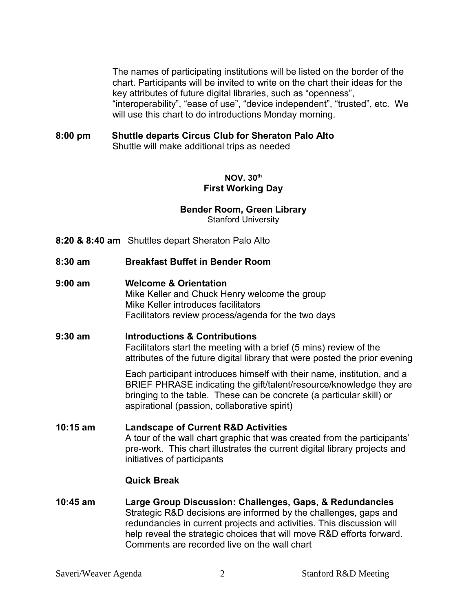The names of participating institutions will be listed on the border of the chart. Participants will be invited to write on the chart their ideas for the key attributes of future digital libraries, such as "openness", "interoperability", "ease of use", "device independent", "trusted", etc. We will use this chart to do introductions Monday morning.

**8:00 pm Shuttle departs Circus Club for Sheraton Palo Alto** Shuttle will make additional trips as needed

## **NOV. 30th First Working Day**

## **Bender Room, Green Library**

Stanford University

- **8:20 & 8:40 am** Shuttles depart Sheraton Palo Alto
- **8:30 am Breakfast Buffet in Bender Room**
- **9:00 am Welcome & Orientation**

Mike Keller and Chuck Henry welcome the group Mike Keller introduces facilitators Facilitators review process/agenda for the two days

## **9:30 am Introductions & Contributions**

Facilitators start the meeting with a brief (5 mins) review of the attributes of the future digital library that were posted the prior evening

Each participant introduces himself with their name, institution, and a BRIEF PHRASE indicating the gift/talent/resource/knowledge they are bringing to the table. These can be concrete (a particular skill) or aspirational (passion, collaborative spirit)

**10:15 am Landscape of Current R&D Activities**  A tour of the wall chart graphic that was created from the participants' pre-work. This chart illustrates the current digital library projects and initiatives of participants

## **Quick Break**

**10:45 am Large Group Discussion: Challenges, Gaps, & Redundancies** Strategic R&D decisions are informed by the challenges, gaps and redundancies in current projects and activities. This discussion will help reveal the strategic choices that will move R&D efforts forward. Comments are recorded live on the wall chart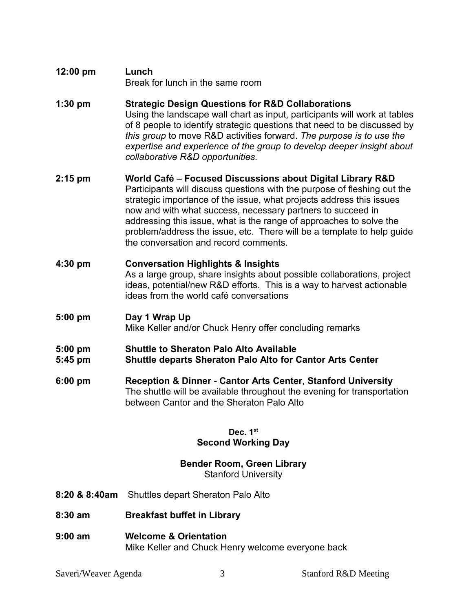- **12:00 pm Lunch**  Break for lunch in the same room
- **1:30 pm Strategic Design Questions for R&D Collaborations** Using the landscape wall chart as input, participants will work at tables of 8 people to identify strategic questions that need to be discussed by *this group* to move R&D activities forward. *The purpose is to use the expertise and experience of the group to develop deeper insight about collaborative R&D opportunities.*
- **2:15 pm World Café Focused Discussions about Digital Library R&D** Participants will discuss questions with the purpose of fleshing out the strategic importance of the issue, what projects address this issues now and with what success, necessary partners to succeed in addressing this issue, what is the range of approaches to solve the problem/address the issue, etc. There will be a template to help guide the conversation and record comments.
- **4:30 pm Conversation Highlights & Insights** As a large group, share insights about possible collaborations, project ideas, potential/new R&D efforts. This is a way to harvest actionable ideas from the world café conversations
- **5:00 pm Day 1 Wrap Up** Mike Keller and/or Chuck Henry offer concluding remarks
- **5:00 pm Shuttle to Sheraton Palo Alto Available 5:45 pm Shuttle departs Sheraton Palo Alto for Cantor Arts Center**
- **6:00 pm Reception & Dinner Cantor Arts Center, Stanford University** The shuttle will be available throughout the evening for transportation between Cantor and the Sheraton Palo Alto

## **Dec. 1st Second Working Day**

# **Bender Room, Green Library**

Stanford University

- **8:20 & 8:40am** Shuttles depart Sheraton Palo Alto
- **8:30 am Breakfast buffet in Library**
- **9:00 am Welcome & Orientation**  Mike Keller and Chuck Henry welcome everyone back

Saveri/Weaver Agenda 3 3 Stanford R&D Meeting